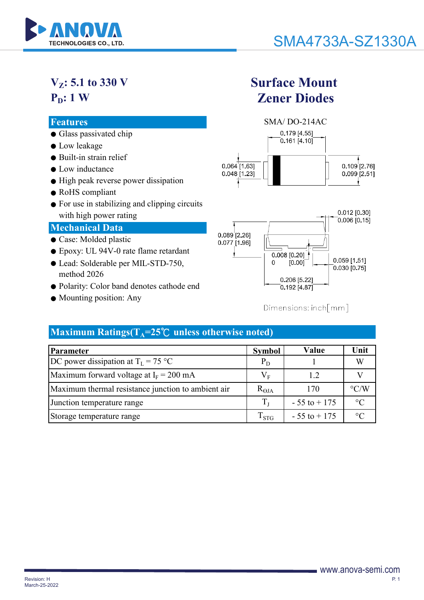

## **VZ: 5.1 to 330 V**  $P_D: 1 W$

- Glass passivated chip
- Low leakage
- Built-in strain relief
- Low inductance
- High peak reverse power dissipation
- RoHS compliant
- For use in stabilizing and clipping circuits with high power rating

#### **Mechanical Data**

- Case: Molded plastic
- Epoxy: UL 94V-0 rate flame retardant
- Lead: Solderable per MIL-STD-750, method 2026
- Polarity: Color band denotes cathode end
- Mounting position: Any

## **Surface Mount Zener Diodes**





#### $Dimensions:inch/mm$ ]

## **Maximum Ratings(** $T_A = 25^\circ C$  **unless otherwise noted)**

| Parameter                                          | <b>Symbol</b>      | Value           | Unit               |
|----------------------------------------------------|--------------------|-----------------|--------------------|
| DC power dissipation at $T_L = 75 \text{ °C}$      | $P_D$              |                 | W                  |
| Maximum forward voltage at $I_F = 200$ mA          | $\rm V_F$          | 1.2             |                    |
| Maximum thermal resistance junction to ambient air | $R_{\Theta JA}$    | 170             | $\rm ^{\circ} C/W$ |
| Junction temperature range                         |                    | $-55$ to $+175$ | $\circ$ C          |
| Storage temperature range                          | $\mathrm{T_{STG}}$ | $-55$ to $+175$ | $^{\circ}C$        |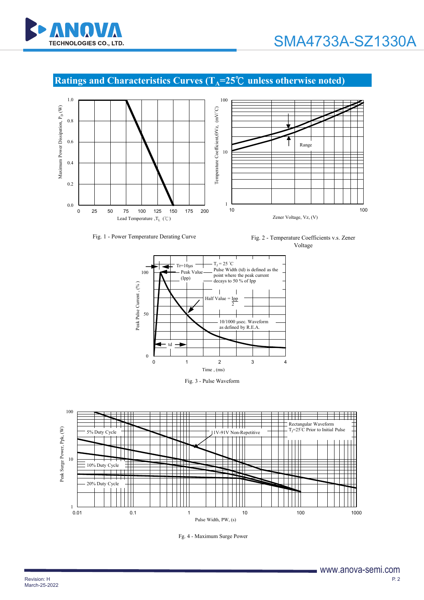

### **Ratings and Characteristics Curves (T<sub>A</sub>=25℃ unless otherwise noted)**



Fig. 1 - Power Temperature Derating Curve Fig. 2 - Temperature Coefficients v.s. Zener Voltage



Fig. 3 - Pulse Waveform